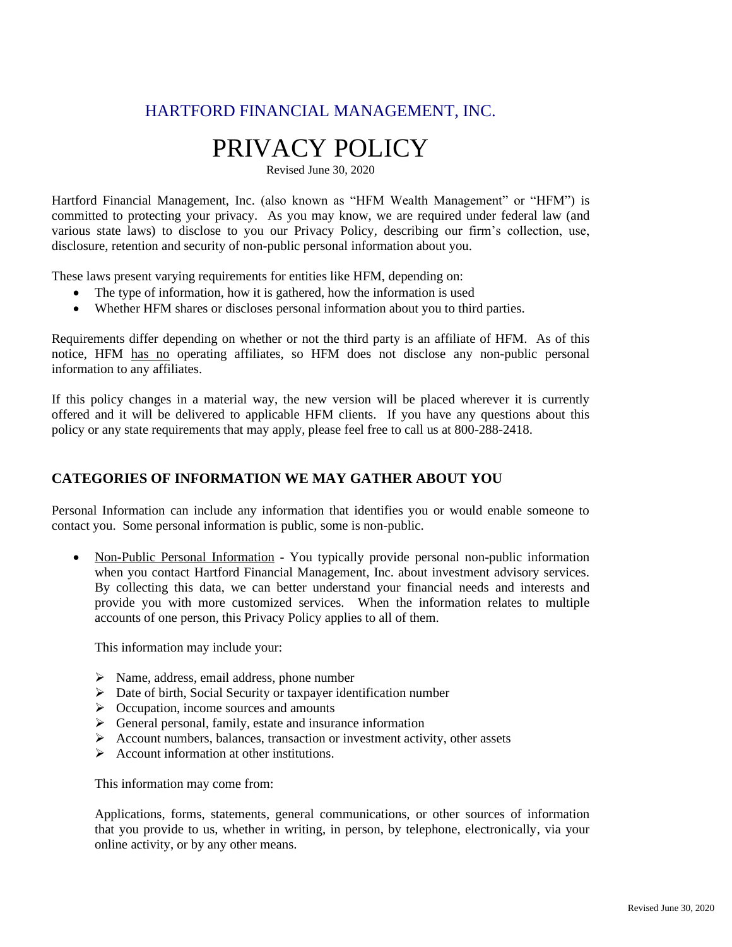# HARTFORD FINANCIAL MANAGEMENT, INC.

# PRIVACY POLICY

Revised June 30, 2020

Hartford Financial Management, Inc. (also known as "HFM Wealth Management" or "HFM") is committed to protecting your privacy. As you may know, we are required under federal law (and various state laws) to disclose to you our Privacy Policy, describing our firm's collection, use, disclosure, retention and security of non-public personal information about you.

These laws present varying requirements for entities like HFM, depending on:

- The type of information, how it is gathered, how the information is used
- Whether HFM shares or discloses personal information about you to third parties.

Requirements differ depending on whether or not the third party is an affiliate of HFM. As of this notice, HFM has no operating affiliates, so HFM does not disclose any non-public personal information to any affiliates.

If this policy changes in a material way, the new version will be placed wherever it is currently offered and it will be delivered to applicable HFM clients. If you have any questions about this policy or any state requirements that may apply, please feel free to call us at 800-288-2418.

#### **CATEGORIES OF INFORMATION WE MAY GATHER ABOUT YOU**

Personal Information can include any information that identifies you or would enable someone to contact you. Some personal information is public, some is non-public.

• Non-Public Personal Information - You typically provide personal non-public information when you contact Hartford Financial Management, Inc. about investment advisory services. By collecting this data, we can better understand your financial needs and interests and provide you with more customized services. When the information relates to multiple accounts of one person, this Privacy Policy applies to all of them.

This information may include your:

- ➢ Name, address, email address, phone number
- ➢ Date of birth, Social Security or taxpayer identification number
- ➢ Occupation, income sources and amounts
- ➢ General personal, family, estate and insurance information
- $\triangleright$  Account numbers, balances, transaction or investment activity, other assets
- ➢ Account information at other institutions.

This information may come from:

Applications, forms, statements, general communications, or other sources of information that you provide to us, whether in writing, in person, by telephone, electronically, via your online activity, or by any other means.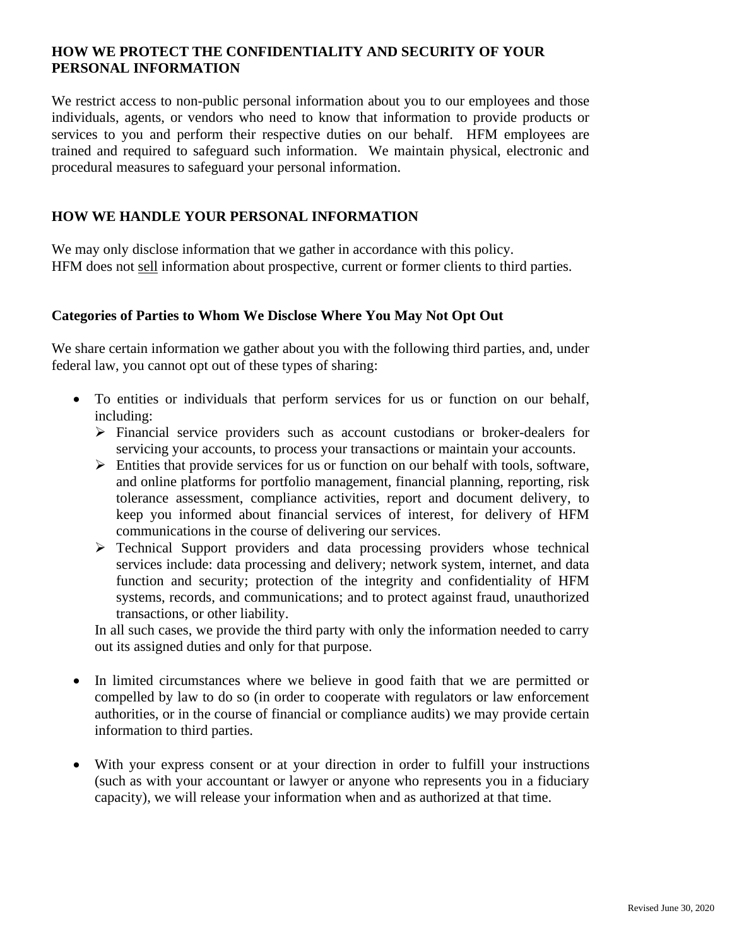# **HOW WE PROTECT THE CONFIDENTIALITY AND SECURITY OF YOUR PERSONAL INFORMATION**

We restrict access to non-public personal information about you to our employees and those individuals, agents, or vendors who need to know that information to provide products or services to you and perform their respective duties on our behalf. HFM employees are trained and required to safeguard such information. We maintain physical, electronic and procedural measures to safeguard your personal information.

# **HOW WE HANDLE YOUR PERSONAL INFORMATION**

We may only disclose information that we gather in accordance with this policy. HFM does not sell information about prospective, current or former clients to third parties.

# **Categories of Parties to Whom We Disclose Where You May Not Opt Out**

We share certain information we gather about you with the following third parties, and, under federal law, you cannot opt out of these types of sharing:

- To entities or individuals that perform services for us or function on our behalf, including:
	- ➢ Financial service providers such as account custodians or broker-dealers for servicing your accounts, to process your transactions or maintain your accounts.
	- ➢ Entities that provide services for us or function on our behalf with tools, software, and online platforms for portfolio management, financial planning, reporting, risk tolerance assessment, compliance activities, report and document delivery, to keep you informed about financial services of interest, for delivery of HFM communications in the course of delivering our services.
	- ➢ Technical Support providers and data processing providers whose technical services include: data processing and delivery; network system, internet, and data function and security; protection of the integrity and confidentiality of HFM systems, records, and communications; and to protect against fraud, unauthorized transactions, or other liability.

In all such cases, we provide the third party with only the information needed to carry out its assigned duties and only for that purpose.

- In limited circumstances where we believe in good faith that we are permitted or compelled by law to do so (in order to cooperate with regulators or law enforcement authorities, or in the course of financial or compliance audits) we may provide certain information to third parties.
- With your express consent or at your direction in order to fulfill your instructions (such as with your accountant or lawyer or anyone who represents you in a fiduciary capacity), we will release your information when and as authorized at that time.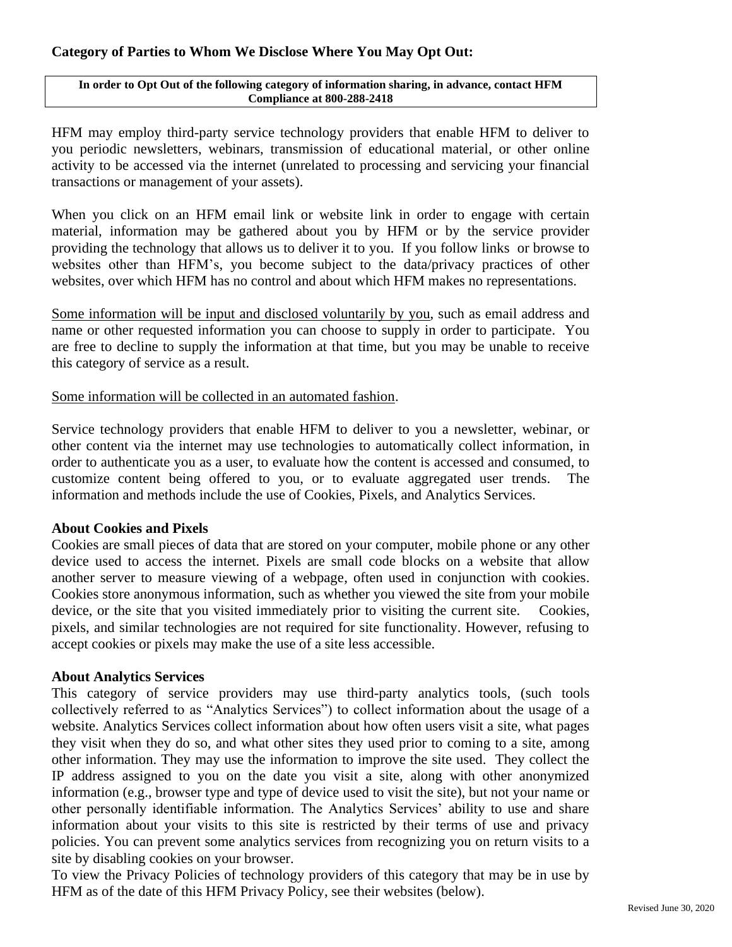# **Category of Parties to Whom We Disclose Where You May Opt Out:**

#### **In order to Opt Out of the following category of information sharing, in advance, contact HFM Compliance at 800-288-2418**

HFM may employ third-party service technology providers that enable HFM to deliver to you periodic newsletters, webinars, transmission of educational material, or other online activity to be accessed via the internet (unrelated to processing and servicing your financial transactions or management of your assets).

When you click on an HFM email link or website link in order to engage with certain material, information may be gathered about you by HFM or by the service provider providing the technology that allows us to deliver it to you. If you follow links or browse to websites other than HFM's, you become subject to the data/privacy practices of other websites, over which HFM has no control and about which HFM makes no representations.

Some information will be input and disclosed voluntarily by you, such as email address and name or other requested information you can choose to supply in order to participate. You are free to decline to supply the information at that time, but you may be unable to receive this category of service as a result.

Some information will be collected in an automated fashion.

Service technology providers that enable HFM to deliver to you a newsletter, webinar, or other content via the internet may use technologies to automatically collect information, in order to authenticate you as a user, to evaluate how the content is accessed and consumed, to customize content being offered to you, or to evaluate aggregated user trends. The information and methods include the use of Cookies, Pixels, and Analytics Services.

#### **About Cookies and Pixels**

Cookies are small pieces of data that are stored on your computer, mobile phone or any other device used to access the internet. Pixels are small code blocks on a website that allow another server to measure viewing of a webpage, often used in conjunction with cookies. Cookies store anonymous information, such as whether you viewed the site from your mobile device, or the site that you visited immediately prior to visiting the current site. Cookies, pixels, and similar technologies are not required for site functionality. However, refusing to accept cookies or pixels may make the use of a site less accessible.

#### **About Analytics Services**

This category of service providers may use third-party analytics tools, (such tools collectively referred to as "Analytics Services") to collect information about the usage of a website. Analytics Services collect information about how often users visit a site, what pages they visit when they do so, and what other sites they used prior to coming to a site, among other information. They may use the information to improve the site used. They collect the IP address assigned to you on the date you visit a site, along with other anonymized information (e.g., browser type and type of device used to visit the site), but not your name or other personally identifiable information. The Analytics Services' ability to use and share information about your visits to this site is restricted by their terms of use and privacy policies. You can prevent some analytics services from recognizing you on return visits to a site by disabling cookies on your browser.

To view the Privacy Policies of technology providers of this category that may be in use by HFM as of the date of this HFM Privacy Policy, see their websites (below).